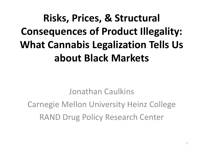## **Risks, Prices, & Structural Consequences of Product Illegality: What Cannabis Legalization Tells Us about Black Markets**

Jonathan Caulkins Carnegie Mellon University Heinz College RAND Drug Policy Research Center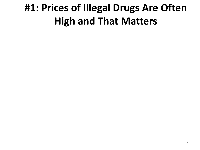#### **#1: Prices of Illegal Drugs Are Often High and That Matters**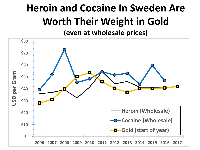## **Heroin and Cocaine In Sweden Are Worth Their Weight in Gold**

**(even at wholesale prices)**

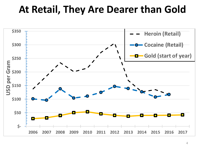#### **At Retail, They Are Dearer than Gold**

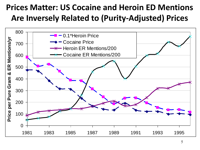#### **Prices Matter: US Cocaine and Heroin ED Mentions Are Inversely Related to (Purity-Adjusted) Prices**

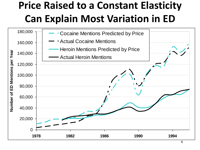#### **Price Raised to a Constant Elasticity Can Explain Most Variation in ED**

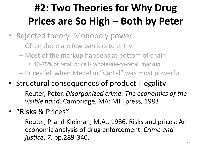### **#2: Two Theories for Why Drug Prices are So High – Both by Peter**

- Rejected theory: Monopoly power
	- Often there are few barriers to entry
	- Most of the markup happens at bottom of chain
		- 40-75% of retail price is wholesale-to-retail markup
	- Prices fell when Medellin "Cartel" was most powerful
- Structural consequences of product illegality
	- Reuter, Peter. *Disorganized crime: The economics of the visible hand*. Cambridge, MA: MIT press, 1983
- "Risks & Prices"
	- Reuter, P. and Kleiman, M.A., 1986. Risks and prices: An economic analysis of drug enforcement. *Crime and justice*, *7*, pp.289-340.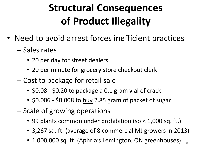### **Structural Consequences of Product Illegality**

- Need to avoid arrest forces inefficient practices
	- Sales rates
		- 20 per day for street dealers
		- 20 per minute for grocery store checkout clerk
	- Cost to package for retail sale
		- \$0.08 \$0.20 to package a 0.1 gram vial of crack
		- \$0.006 \$0.008 to buy 2.85 gram of packet of sugar
	- Scale of growing operations
		- 99 plants common under prohibition (so < 1,000 sq. ft.)
		- 3,267 sq. ft. (average of 8 commercial MJ growers in 2013)
		- 1,000,000 sq. ft. (Aphria's Lemington, ON greenhouses)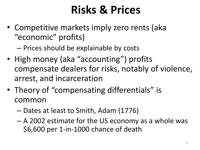## **Risks & Prices**

- Competitive markets imply zero rents (aka "economic" profits)
	- Prices should be explainable by costs
- High money (aka "accounting") profits compensate dealers for risks, notably of violence, arrest, and incarceration
- Theory of "compensating differentials" is common
	- Dates at least to Smith, Adam (1776)
	- A 2002 estimate for the US economy as a whole was \$6,600 per 1-in-1000 chance of death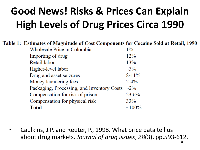### **Good News! Risks & Prices Can Explain 5High Levels of Drug Prices Circa 1990**

Table 1: Estimates of Magnitude of Cost Components for Cocaine Sold at Retail, 1990

| Wholesale Price in Colombia                | $1\%$         |
|--------------------------------------------|---------------|
| Importing of drug                          | 12%           |
| Retail labor                               | 13%           |
| Higher-level labor                         | $\sim 3\%$    |
| Drug and asset seizures                    | $8 - 11\%$    |
| Money laundering fees                      | $2 - 4\%$     |
| Packaging, Processing, and Inventory Costs | $\sim$ 2%     |
| Compensation for risk of prison            | 23.6%         |
| Compensation for physical risk             | 33%           |
| <b>Total</b>                               | ${\sim}100\%$ |
|                                            |               |

• Caulkins, J.P. and Reuter, P., 1998. What price data tell us about drug markets. *Journal of drug issues*, *28*(3), pp.593-612.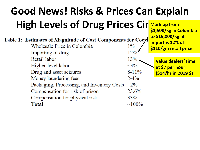#### **Good News! Risks & Prices Can Explain 5 High Levels of Drug Prices Cir** Mark up from **Mark up from \$1,500/kg in Colombia**

| Table 1: Estimates of Magnitude of Cost Components for Cocal<br>Wholesale Price in Colombia<br>Importing of drug | $1\%$<br>12% | to \$15,000/kg at<br>import is 12% of<br>\$110/gm retail price |
|------------------------------------------------------------------------------------------------------------------|--------------|----------------------------------------------------------------|
| Retail labor                                                                                                     | 13%          | Value dealers' time                                            |
| Higher-level labor                                                                                               | $\sim$ 3%    | at \$7 per hour                                                |
| Drug and asset seizures                                                                                          | $8 - 11\%$   | $(514/hr$ in 2019 \$)                                          |
| Money laundering fees                                                                                            | $2 - 4\%$    |                                                                |
| Packaging, Processing, and Inventory Costs $\sim$ 2%                                                             |              |                                                                |
| Compensation for risk of prison                                                                                  | 23.6%        |                                                                |
| Compensation for physical risk                                                                                   | 33%          |                                                                |
| <b>Total</b>                                                                                                     | $\sim$ 100%  |                                                                |
|                                                                                                                  |              |                                                                |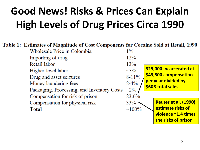### **Good News! Risks & Prices Can Explain 5 High Levels of Drug Prices Circa 1990**

#### Table 1: Estimates of Magnitude of Cost Components for Cocaine Sold at Retail, 1990

Wholesale Price in Colombia  $1\%$ Importing of drug  $12%$ Retail labor  $13%$ **325,000 incarcerated at**   $\sim 3\%$ Higher-level labor **\$43,500 compensation**  Drug and asset seizures  $8 - 11\%$ **per year divided by**   $2 - 4\%$ Money laundering fees **\$60B total sales** Packaging, Processing, and Inventory Costs  $\sim$ 2% Compensation for risk of prison 23.6% **Reuter et al. (1990)**  Compensation for physical risk  $33\%$ **estimate risks of Total**  $\sim 100\%$ **violence ~1.4 times** 

**the risks of prison**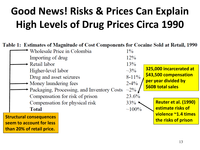### **Good News! Risks & Prices Can Explain 5 High Levels of Drug Prices Circa 1990**

#### Table 1: Estimates of Magnitude of Cost Components for Cocaine Sold at Retail, 1990



**than 20% of retail price.**

13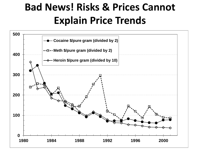#### **Bad News! Risks & Prices Cannot Explain Price Trends**

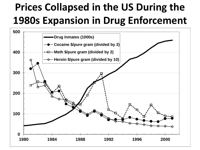#### **Prices Collapsed in the US During the 1980s Expansion in Drug Enforcement**

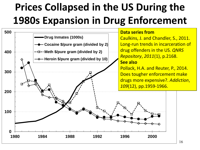#### **Prices Collapsed in the US During the 1980s Expansion in Drug Enforcement <sup>5</sup>**

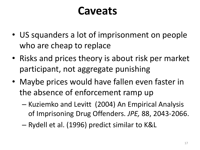#### **Caveats**

- US squanders a lot of imprisonment on people who are cheap to replace
- Risks and prices theory is about risk per market participant, not aggregate punishing
- Maybe prices would have fallen even faster in the absence of enforcement ramp up
	- Kuziemko and Levitt (2004) An Empirical Analysis of Imprisoning Drug Offenders. *JPE,* 88, 2043-2066.
	- Rydell et al. (1996) predict similar to K&L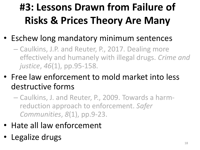## **#3: Lessons Drawn from Failure of Risks & Prices Theory Are Many**

- Eschew long mandatory minimum sentences
	- Caulkins, J.P. and Reuter, P., 2017. Dealing more effectively and humanely with illegal drugs. *Crime and justice*, *46*(1), pp.95-158.
- Free law enforcement to mold market into less destructive forms
	- Caulkins, J. and Reuter, P., 2009. Towards a harmreduction approach to enforcement. *Safer Communities*, *8*(1), pp.9-23.
- Hate all law enforcement
- Legalize drugs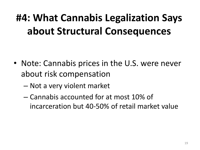#### **#4: What Cannabis Legalization Says about Structural Consequences**

- Note: Cannabis prices in the U.S. were never about risk compensation
	- Not a very violent market
	- Cannabis accounted for at most 10% of incarceration but 40-50% of retail market value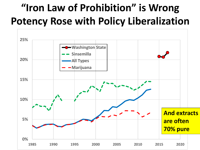#### **"Iron Law of Prohibition" is Wrong Potency Rose with Policy Liberalization**

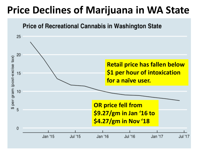#### **Price Declines of Marijuana in WA State**

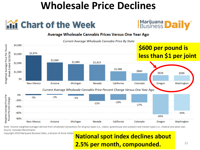#### **Wholesale Price Declines**





#### Average Wholesale Cannabis Prices Versus One Year Ago

Current Average Wholesale Cannabis Price By State



Note: Volume weighted averages derived from wholesale transactions for all grow types (i.e., indoor, greenhouse and outdoor) and market types (i.e., medical and adult use). Source: Cannabis Benchmarks

Copyright 2018 Marijuana Business Daily, a division of Anne Hollar

#### **National spot index declines about 2.5% per month, compounded.**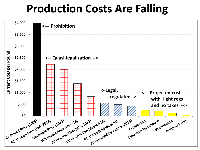#### **Production Costs Are Falling**

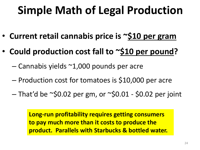## **Simple Math of Legal Production**

- **Current retail cannabis price is ~\$10 per gram**
- **Could production cost fall to ~\$10 per pound?**
	- $-$  Cannabis yields  $\sim$ 1,000 pounds per acre
	- Production cost for tomatoes is \$10,000 per acre
	- $-$  That'd be ~\$0.02 per gm, or ~\$0.01 \$0.02 per joint

**Long-run profitability requires getting consumers to pay much more than it costs to produce the product. Parallels with Starbucks & bottled water.**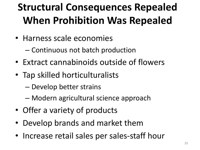### **Structural Consequences Repealed When Prohibition Was Repealed**

- Harness scale economies
	- Continuous not batch production
- Extract cannabinoids outside of flowers
- Tap skilled horticulturalists
	- Develop better strains
	- Modern agricultural science approach
- Offer a variety of products
- Develop brands and market them
- Increase retail sales per sales-staff hour